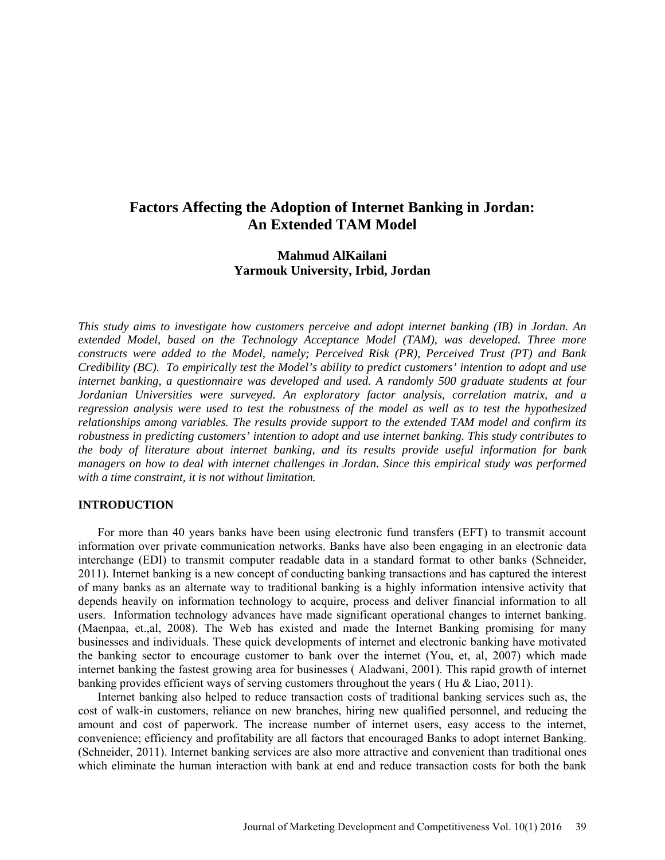# **Factors Affecting the Adoption of Internet Banking in Jordan: An Extended TAM Model**

## **Mahmud AlKailani Yarmouk University, Irbid, Jordan**

*This study aims to investigate how customers perceive and adopt internet banking (IB) in Jordan. An extended Model, based on the Technology Acceptance Model (TAM), was developed. Three more constructs were added to the Model, namely; Perceived Risk (PR), Perceived Trust (PT) and Bank Credibility (BC). To empirically test the Model's ability to predict customers' intention to adopt and use internet banking, a questionnaire was developed and used. A randomly 500 graduate students at four Jordanian Universities were surveyed. An exploratory factor analysis, correlation matrix, and a regression analysis were used to test the robustness of the model as well as to test the hypothesized relationships among variables. The results provide support to the extended TAM model and confirm its robustness in predicting customers' intention to adopt and use internet banking. This study contributes to the body of literature about internet banking, and its results provide useful information for bank managers on how to deal with internet challenges in Jordan. Since this empirical study was performed with a time constraint, it is not without limitation.* 

## **INTRODUCTION**

For more than 40 years banks have been using electronic fund transfers (EFT) to transmit account information over private communication networks. Banks have also been engaging in an electronic data interchange (EDI) to transmit computer readable data in a standard format to other banks (Schneider, 2011). Internet banking is a new concept of conducting banking transactions and has captured the interest of many banks as an alternate way to traditional banking is a highly information intensive activity that depends heavily on information technology to acquire, process and deliver financial information to all users. Information technology advances have made significant operational changes to internet banking. (Maenpaa, et.,al, 2008). The Web has existed and made the Internet Banking promising for many businesses and individuals. These quick developments of internet and electronic banking have motivated the banking sector to encourage customer to bank over the internet (You, et, al, 2007) which made internet banking the fastest growing area for businesses ( Aladwani, 2001). This rapid growth of internet banking provides efficient ways of serving customers throughout the years ( Hu & Liao, 2011).

Internet banking also helped to reduce transaction costs of traditional banking services such as, the cost of walk-in customers, reliance on new branches, hiring new qualified personnel, and reducing the amount and cost of paperwork. The increase number of internet users, easy access to the internet, convenience; efficiency and profitability are all factors that encouraged Banks to adopt internet Banking. (Schneider, 2011). Internet banking services are also more attractive and convenient than traditional ones which eliminate the human interaction with bank at end and reduce transaction costs for both the bank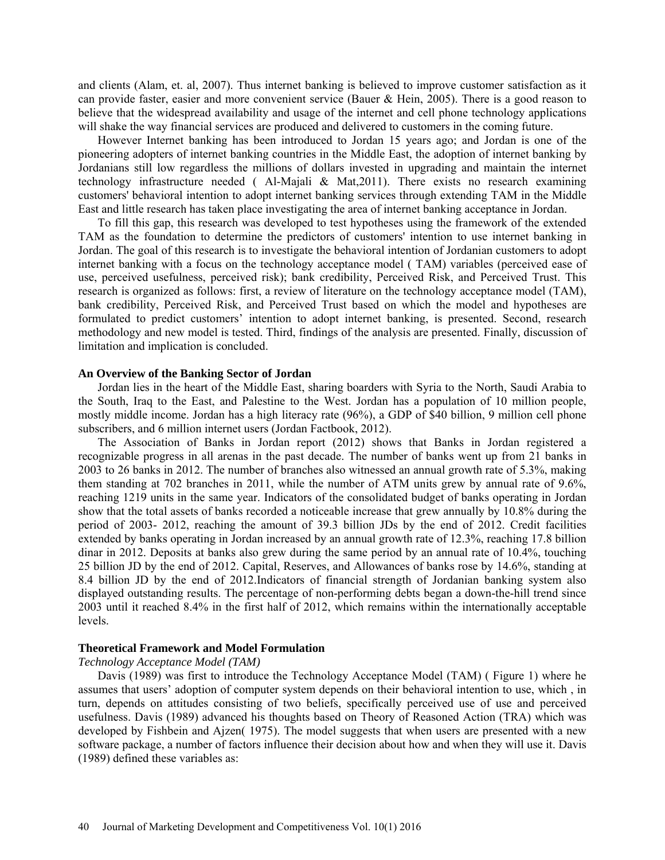and clients (Alam, et. al, 2007). Thus internet banking is believed to improve customer satisfaction as it can provide faster, easier and more convenient service (Bauer & Hein, 2005). There is a good reason to believe that the widespread availability and usage of the internet and cell phone technology applications will shake the way financial services are produced and delivered to customers in the coming future.

However Internet banking has been introduced to Jordan 15 years ago; and Jordan is one of the pioneering adopters of internet banking countries in the Middle East, the adoption of internet banking by Jordanians still low regardless the millions of dollars invested in upgrading and maintain the internet technology infrastructure needed ( Al-Majali & Mat,2011). There exists no research examining customers' behavioral intention to adopt internet banking services through extending TAM in the Middle East and little research has taken place investigating the area of internet banking acceptance in Jordan.

To fill this gap, this research was developed to test hypotheses using the framework of the extended TAM as the foundation to determine the predictors of customers' intention to use internet banking in Jordan. The goal of this research is to investigate the behavioral intention of Jordanian customers to adopt internet banking with a focus on the technology acceptance model ( TAM) variables (perceived ease of use, perceived usefulness, perceived risk); bank credibility, Perceived Risk, and Perceived Trust. This research is organized as follows: first, a review of literature on the technology acceptance model (TAM), bank credibility, Perceived Risk, and Perceived Trust based on which the model and hypotheses are formulated to predict customers' intention to adopt internet banking, is presented. Second, research methodology and new model is tested. Third, findings of the analysis are presented. Finally, discussion of limitation and implication is concluded.

## **An Overview of the Banking Sector of Jordan**

Jordan lies in the heart of the Middle East, sharing boarders with Syria to the North, Saudi Arabia to the South, Iraq to the East, and Palestine to the West. Jordan has a population of 10 million people, mostly middle income. Jordan has a high literacy rate (96%), a GDP of \$40 billion, 9 million cell phone subscribers, and 6 million internet users (Jordan Factbook, 2012).

The Association of Banks in Jordan report (2012) shows that Banks in Jordan registered a recognizable progress in all arenas in the past decade. The number of banks went up from 21 banks in 2003 to 26 banks in 2012. The number of branches also witnessed an annual growth rate of 5.3%, making them standing at 702 branches in 2011, while the number of ATM units grew by annual rate of 9.6%, reaching 1219 units in the same year. Indicators of the consolidated budget of banks operating in Jordan show that the total assets of banks recorded a noticeable increase that grew annually by 10.8% during the period of 2003- 2012, reaching the amount of 39.3 billion JDs by the end of 2012. Credit facilities extended by banks operating in Jordan increased by an annual growth rate of 12.3%, reaching 17.8 billion dinar in 2012. Deposits at banks also grew during the same period by an annual rate of 10.4%, touching 25 billion JD by the end of 2012. Capital, Reserves, and Allowances of banks rose by 14.6%, standing at 8.4 billion JD by the end of 2012.Indicators of financial strength of Jordanian banking system also displayed outstanding results. The percentage of non-performing debts began a down-the-hill trend since 2003 until it reached 8.4% in the first half of 2012, which remains within the internationally acceptable levels.

## **Theoretical Framework and Model Formulation**

## *Technology Acceptance Model (TAM)*

Davis (1989) was first to introduce the Technology Acceptance Model (TAM) ( Figure 1) where he assumes that users' adoption of computer system depends on their behavioral intention to use, which , in turn, depends on attitudes consisting of two beliefs, specifically perceived use of use and perceived usefulness. Davis (1989) advanced his thoughts based on Theory of Reasoned Action (TRA) which was developed by Fishbein and Ajzen( 1975). The model suggests that when users are presented with a new software package, a number of factors influence their decision about how and when they will use it. Davis (1989) defined these variables as: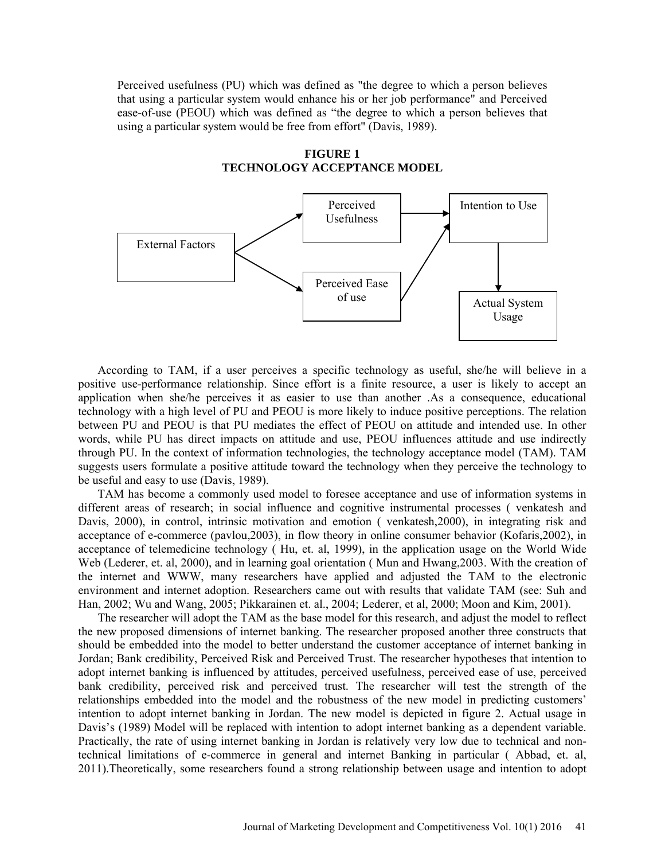Perceived usefulness (PU) which was defined as "the degree to which a person believes that using a particular system would enhance his or her job performance" and Perceived ease-of-use (PEOU) which was defined as "the degree to which a person believes that using a particular system would be free from effort" (Davis, 1989).



**FIGURE 1 TECHNOLOGY ACCEPTANCE MODEL**

According to TAM, if a user perceives a specific technology as useful, she/he will believe in a positive use-performance relationship. Since effort is a finite resource, a user is likely to accept an application when she/he perceives it as easier to use than another .As a consequence, educational technology with a high level of PU and PEOU is more likely to induce positive perceptions. The relation between PU and PEOU is that PU mediates the effect of PEOU on attitude and intended use. In other words, while PU has direct impacts on attitude and use, PEOU influences attitude and use indirectly through PU. In the context of information technologies, the technology acceptance model (TAM). TAM suggests users formulate a positive attitude toward the technology when they perceive the technology to be useful and easy to use (Davis, 1989).

TAM has become a commonly used model to foresee acceptance and use of information systems in different areas of research; in social influence and cognitive instrumental processes ( venkatesh and Davis, 2000), in control, intrinsic motivation and emotion ( venkatesh,2000), in integrating risk and acceptance of e-commerce (pavlou,2003), in flow theory in online consumer behavior (Kofaris,2002), in acceptance of telemedicine technology ( Hu, et. al, 1999), in the application usage on the World Wide Web (Lederer, et. al, 2000), and in learning goal orientation ( Mun and Hwang,2003. With the creation of the internet and WWW, many researchers have applied and adjusted the TAM to the electronic environment and internet adoption. Researchers came out with results that validate TAM (see: Suh and Han, 2002; Wu and Wang, 2005; Pikkarainen et. al., 2004; Lederer, et al, 2000; Moon and Kim, 2001).

The researcher will adopt the TAM as the base model for this research, and adjust the model to reflect the new proposed dimensions of internet banking. The researcher proposed another three constructs that should be embedded into the model to better understand the customer acceptance of internet banking in Jordan; Bank credibility, Perceived Risk and Perceived Trust. The researcher hypotheses that intention to adopt internet banking is influenced by attitudes, perceived usefulness, perceived ease of use, perceived bank credibility, perceived risk and perceived trust. The researcher will test the strength of the relationships embedded into the model and the robustness of the new model in predicting customers' intention to adopt internet banking in Jordan. The new model is depicted in figure 2. Actual usage in Davis's (1989) Model will be replaced with intention to adopt internet banking as a dependent variable. Practically, the rate of using internet banking in Jordan is relatively very low due to technical and nontechnical limitations of e-commerce in general and internet Banking in particular ( Abbad, et. al, 2011).Theoretically, some researchers found a strong relationship between usage and intention to adopt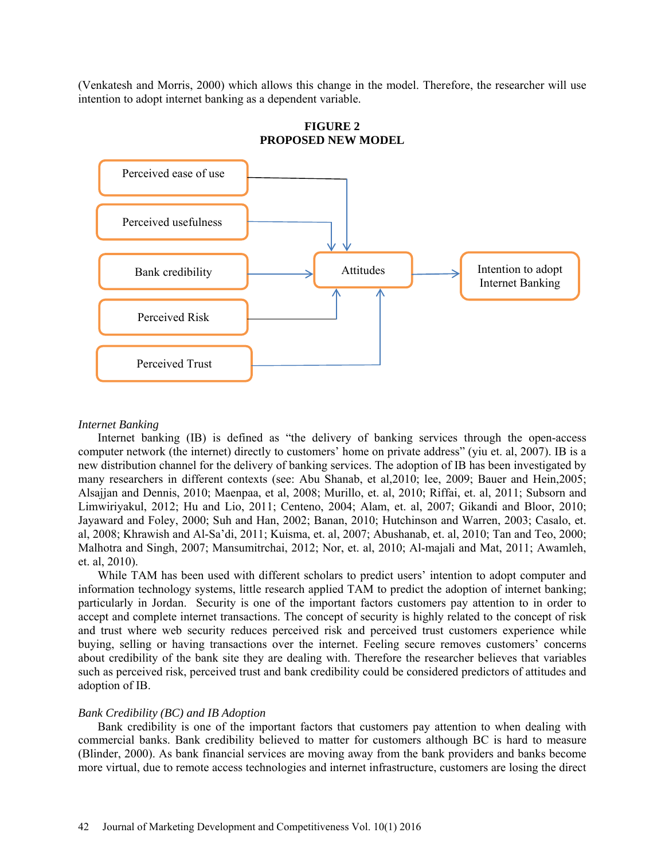(Venkatesh and Morris, 2000) which allows this change in the model. Therefore, the researcher will use intention to adopt internet banking as a dependent variable.



**FIGURE 2 PROPOSED NEW MODEL**

#### *Internet Banking*

Internet banking (IB) is defined as "the delivery of banking services through the open-access computer network (the internet) directly to customers' home on private address" (yiu et. al, 2007). IB is a new distribution channel for the delivery of banking services. The adoption of IB has been investigated by many researchers in different contexts (see: Abu Shanab, et al,2010; lee, 2009; Bauer and Hein,2005; Alsajjan and Dennis, 2010; Maenpaa, et al, 2008; Murillo, et. al, 2010; Riffai, et. al, 2011; Subsorn and Limwiriyakul, 2012; Hu and Lio, 2011; Centeno, 2004; Alam, et. al, 2007; Gikandi and Bloor, 2010; Jayaward and Foley, 2000; Suh and Han, 2002; Banan, 2010; Hutchinson and Warren, 2003; Casalo, et. al, 2008; Khrawish and Al-Sa'di, 2011; Kuisma, et. al, 2007; Abushanab, et. al, 2010; Tan and Teo, 2000; Malhotra and Singh, 2007; Mansumitrchai, 2012; Nor, et. al, 2010; Al-majali and Mat, 2011; Awamleh, et. al, 2010).

While TAM has been used with different scholars to predict users' intention to adopt computer and information technology systems, little research applied TAM to predict the adoption of internet banking; particularly in Jordan. Security is one of the important factors customers pay attention to in order to accept and complete internet transactions. The concept of security is highly related to the concept of risk and trust where web security reduces perceived risk and perceived trust customers experience while buying, selling or having transactions over the internet. Feeling secure removes customers' concerns about credibility of the bank site they are dealing with. Therefore the researcher believes that variables such as perceived risk, perceived trust and bank credibility could be considered predictors of attitudes and adoption of IB.

### *Bank Credibility (BC) and IB Adoption*

Bank credibility is one of the important factors that customers pay attention to when dealing with commercial banks. Bank credibility believed to matter for customers although BC is hard to measure (Blinder, 2000). As bank financial services are moving away from the bank providers and banks become more virtual, due to remote access technologies and internet infrastructure, customers are losing the direct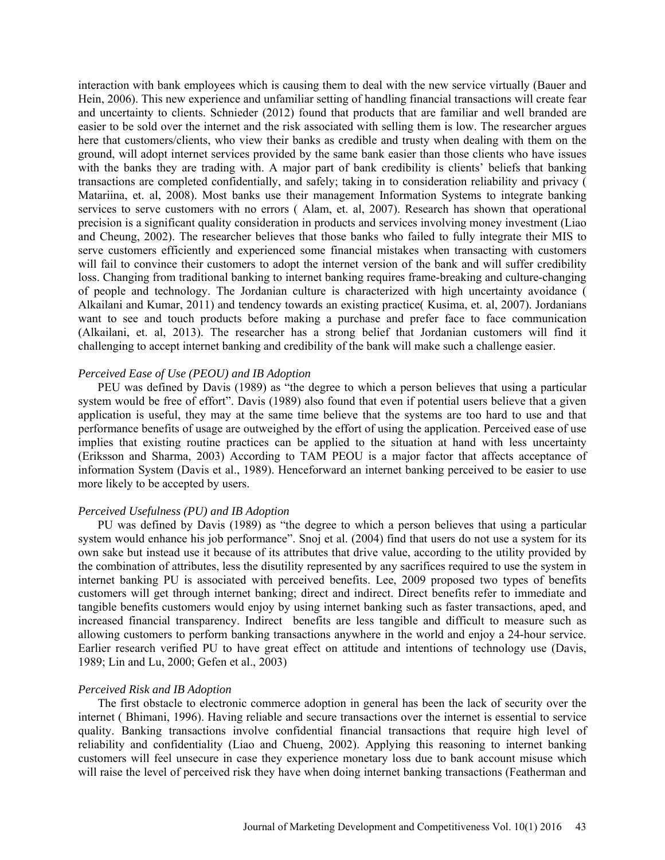interaction with bank employees which is causing them to deal with the new service virtually (Bauer and Hein, 2006). This new experience and unfamiliar setting of handling financial transactions will create fear and uncertainty to clients. Schnieder (2012) found that products that are familiar and well branded are easier to be sold over the internet and the risk associated with selling them is low. The researcher argues here that customers/clients, who view their banks as credible and trusty when dealing with them on the ground, will adopt internet services provided by the same bank easier than those clients who have issues with the banks they are trading with. A major part of bank credibility is clients' beliefs that banking transactions are completed confidentially, and safely; taking in to consideration reliability and privacy ( Matariina, et. al, 2008). Most banks use their management Information Systems to integrate banking services to serve customers with no errors ( Alam, et. al, 2007). Research has shown that operational precision is a significant quality consideration in products and services involving money investment (Liao and Cheung, 2002). The researcher believes that those banks who failed to fully integrate their MIS to serve customers efficiently and experienced some financial mistakes when transacting with customers will fail to convince their customers to adopt the internet version of the bank and will suffer credibility loss. Changing from traditional banking to internet banking requires frame-breaking and culture-changing of people and technology. The Jordanian culture is characterized with high uncertainty avoidance ( Alkailani and Kumar, 2011) and tendency towards an existing practice( Kusima, et. al, 2007). Jordanians want to see and touch products before making a purchase and prefer face to face communication (Alkailani, et. al, 2013). The researcher has a strong belief that Jordanian customers will find it challenging to accept internet banking and credibility of the bank will make such a challenge easier.

## *Perceived Ease of Use (PEOU) and IB Adoption*

PEU was defined by Davis (1989) as "the degree to which a person believes that using a particular system would be free of effort". Davis (1989) also found that even if potential users believe that a given application is useful, they may at the same time believe that the systems are too hard to use and that performance benefits of usage are outweighed by the effort of using the application. Perceived ease of use implies that existing routine practices can be applied to the situation at hand with less uncertainty (Eriksson and Sharma, 2003) According to TAM PEOU is a major factor that affects acceptance of information System (Davis et al., 1989). Henceforward an internet banking perceived to be easier to use more likely to be accepted by users.

### *Perceived Usefulness (PU) and IB Adoption*

PU was defined by Davis (1989) as "the degree to which a person believes that using a particular system would enhance his job performance". Snoj et al. (2004) find that users do not use a system for its own sake but instead use it because of its attributes that drive value, according to the utility provided by the combination of attributes, less the disutility represented by any sacrifices required to use the system in internet banking PU is associated with perceived benefits. Lee, 2009 proposed two types of benefits customers will get through internet banking; direct and indirect. Direct benefits refer to immediate and tangible benefits customers would enjoy by using internet banking such as faster transactions, aped, and increased financial transparency. Indirect benefits are less tangible and difficult to measure such as allowing customers to perform banking transactions anywhere in the world and enjoy a 24-hour service. Earlier research verified PU to have great effect on attitude and intentions of technology use (Davis, 1989; Lin and Lu, 2000; Gefen et al., 2003)

#### *Perceived Risk and IB Adoption*

The first obstacle to electronic commerce adoption in general has been the lack of security over the internet ( Bhimani, 1996). Having reliable and secure transactions over the internet is essential to service quality. Banking transactions involve confidential financial transactions that require high level of reliability and confidentiality (Liao and Chueng, 2002). Applying this reasoning to internet banking customers will feel unsecure in case they experience monetary loss due to bank account misuse which will raise the level of perceived risk they have when doing internet banking transactions (Featherman and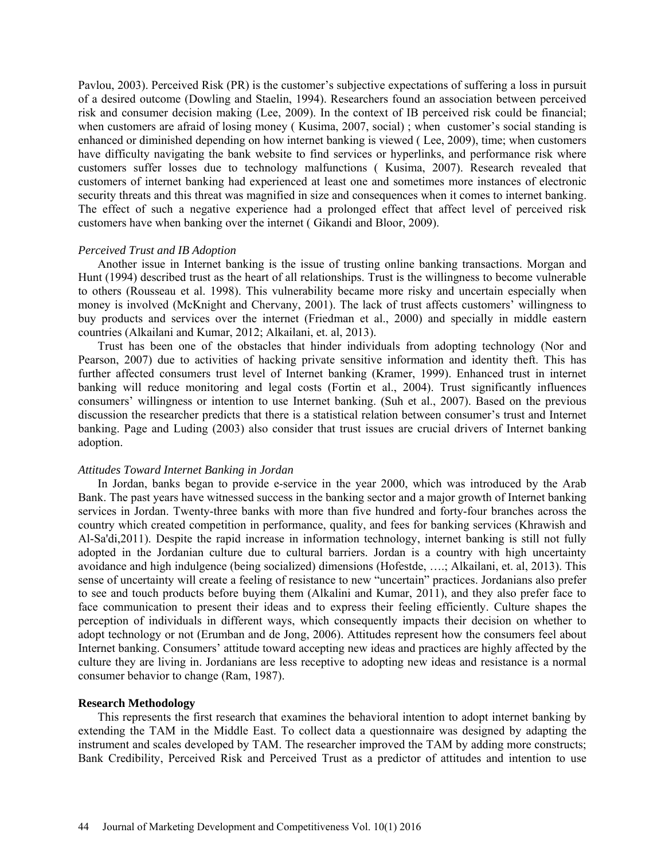Pavlou, 2003). Perceived Risk (PR) is the customer's subjective expectations of suffering a loss in pursuit of a desired outcome (Dowling and Staelin, 1994). Researchers found an association between perceived risk and consumer decision making (Lee, 2009). In the context of IB perceived risk could be financial; when customers are afraid of losing money (Kusima, 2007, social); when customer's social standing is enhanced or diminished depending on how internet banking is viewed ( Lee, 2009), time; when customers have difficulty navigating the bank website to find services or hyperlinks, and performance risk where customers suffer losses due to technology malfunctions ( Kusima, 2007). Research revealed that customers of internet banking had experienced at least one and sometimes more instances of electronic security threats and this threat was magnified in size and consequences when it comes to internet banking. The effect of such a negative experience had a prolonged effect that affect level of perceived risk customers have when banking over the internet ( Gikandi and Bloor, 2009).

## *Perceived Trust and IB Adoption*

Another issue in Internet banking is the issue of trusting online banking transactions. Morgan and Hunt (1994) described trust as the heart of all relationships. Trust is the willingness to become vulnerable to others (Rousseau et al. 1998). This vulnerability became more risky and uncertain especially when money is involved (McKnight and Chervany, 2001). The lack of trust affects customers' willingness to buy products and services over the internet (Friedman et al., 2000) and specially in middle eastern countries (Alkailani and Kumar, 2012; Alkailani, et. al, 2013).

Trust has been one of the obstacles that hinder individuals from adopting technology (Nor and Pearson, 2007) due to activities of hacking private sensitive information and identity theft. This has further affected consumers trust level of Internet banking (Kramer, 1999). Enhanced trust in internet banking will reduce monitoring and legal costs (Fortin et al., 2004). Trust significantly influences consumers' willingness or intention to use Internet banking. (Suh et al., 2007). Based on the previous discussion the researcher predicts that there is a statistical relation between consumer's trust and Internet banking. Page and Luding (2003) also consider that trust issues are crucial drivers of Internet banking adoption.

#### *Attitudes Toward Internet Banking in Jordan*

In Jordan, banks began to provide e-service in the year 2000, which was introduced by the Arab Bank. The past years have witnessed success in the banking sector and a major growth of Internet banking services in Jordan. Twenty-three banks with more than five hundred and forty-four branches across the country which created competition in performance, quality, and fees for banking services (Khrawish and Al-Sa'di,2011). Despite the rapid increase in information technology, internet banking is still not fully adopted in the Jordanian culture due to cultural barriers. Jordan is a country with high uncertainty avoidance and high indulgence (being socialized) dimensions (Hofestde, ….; Alkailani, et. al, 2013). This sense of uncertainty will create a feeling of resistance to new "uncertain" practices. Jordanians also prefer to see and touch products before buying them (Alkalini and Kumar, 2011), and they also prefer face to face communication to present their ideas and to express their feeling efficiently. Culture shapes the perception of individuals in different ways, which consequently impacts their decision on whether to adopt technology or not (Erumban and de Jong, 2006). Attitudes represent how the consumers feel about Internet banking. Consumers' attitude toward accepting new ideas and practices are highly affected by the culture they are living in. Jordanians are less receptive to adopting new ideas and resistance is a normal consumer behavior to change (Ram, 1987).

## **Research Methodology**

This represents the first research that examines the behavioral intention to adopt internet banking by extending the TAM in the Middle East. To collect data a questionnaire was designed by adapting the instrument and scales developed by TAM. The researcher improved the TAM by adding more constructs; Bank Credibility, Perceived Risk and Perceived Trust as a predictor of attitudes and intention to use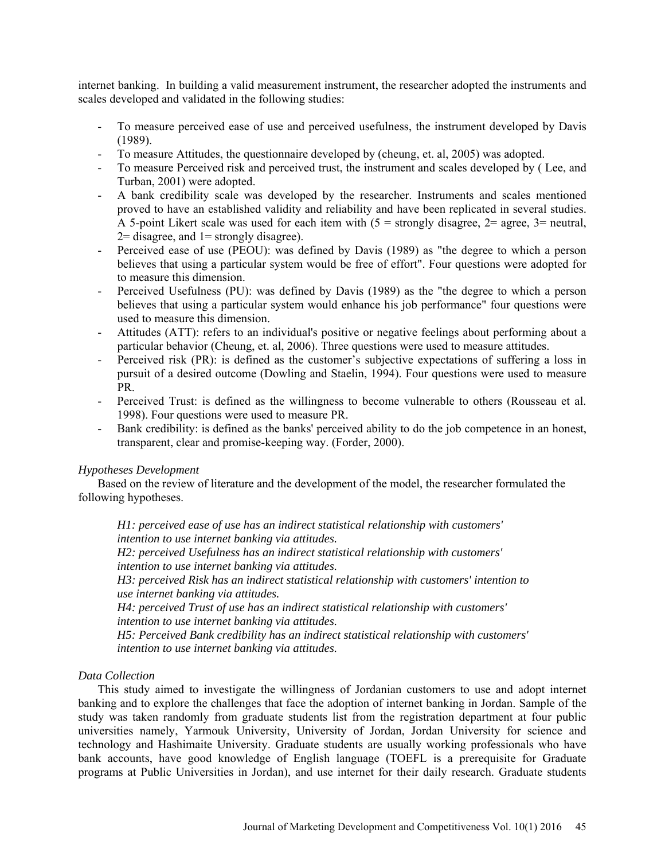internet banking. In building a valid measurement instrument, the researcher adopted the instruments and scales developed and validated in the following studies:

- To measure perceived ease of use and perceived usefulness, the instrument developed by Davis (1989).
- To measure Attitudes, the questionnaire developed by (cheung, et. al, 2005) was adopted.
- To measure Perceived risk and perceived trust, the instrument and scales developed by ( Lee, and Turban, 2001) were adopted.
- A bank credibility scale was developed by the researcher. Instruments and scales mentioned proved to have an established validity and reliability and have been replicated in several studies. A 5-point Likert scale was used for each item with  $(5 =$  strongly disagree,  $2 =$  agree,  $3 =$  neutral,  $2=$  disagree, and  $1=$  strongly disagree).
- Perceived ease of use (PEOU): was defined by Davis (1989) as "the degree to which a person believes that using a particular system would be free of effort". Four questions were adopted for to measure this dimension.
- Perceived Usefulness (PU): was defined by Davis (1989) as the "the degree to which a person believes that using a particular system would enhance his job performance" four questions were used to measure this dimension.
- Attitudes (ATT): refers to an individual's positive or negative feelings about performing about a particular behavior (Cheung, et. al, 2006). Three questions were used to measure attitudes.
- Perceived risk (PR): is defined as the customer's subjective expectations of suffering a loss in pursuit of a desired outcome (Dowling and Staelin, 1994). Four questions were used to measure PR.
- Perceived Trust: is defined as the willingness to become vulnerable to others (Rousseau et al. 1998). Four questions were used to measure PR.
- Bank credibility: is defined as the banks' perceived ability to do the job competence in an honest, transparent, clear and promise-keeping way. (Forder, 2000).

## *Hypotheses Development*

Based on the review of literature and the development of the model, the researcher formulated the following hypotheses.

*H1: perceived ease of use has an indirect statistical relationship with customers' intention to use internet banking via attitudes.*

*H2: perceived Usefulness has an indirect statistical relationship with customers' intention to use internet banking via attitudes.*

*H3: perceived Risk has an indirect statistical relationship with customers' intention to use internet banking via attitudes.*

*H4: perceived Trust of use has an indirect statistical relationship with customers' intention to use internet banking via attitudes.*

*H5: Perceived Bank credibility has an indirect statistical relationship with customers' intention to use internet banking via attitudes.*

## *Data Collection*

This study aimed to investigate the willingness of Jordanian customers to use and adopt internet banking and to explore the challenges that face the adoption of internet banking in Jordan. Sample of the study was taken randomly from graduate students list from the registration department at four public universities namely, Yarmouk University, University of Jordan, Jordan University for science and technology and Hashimaite University. Graduate students are usually working professionals who have bank accounts, have good knowledge of English language (TOEFL is a prerequisite for Graduate programs at Public Universities in Jordan), and use internet for their daily research. Graduate students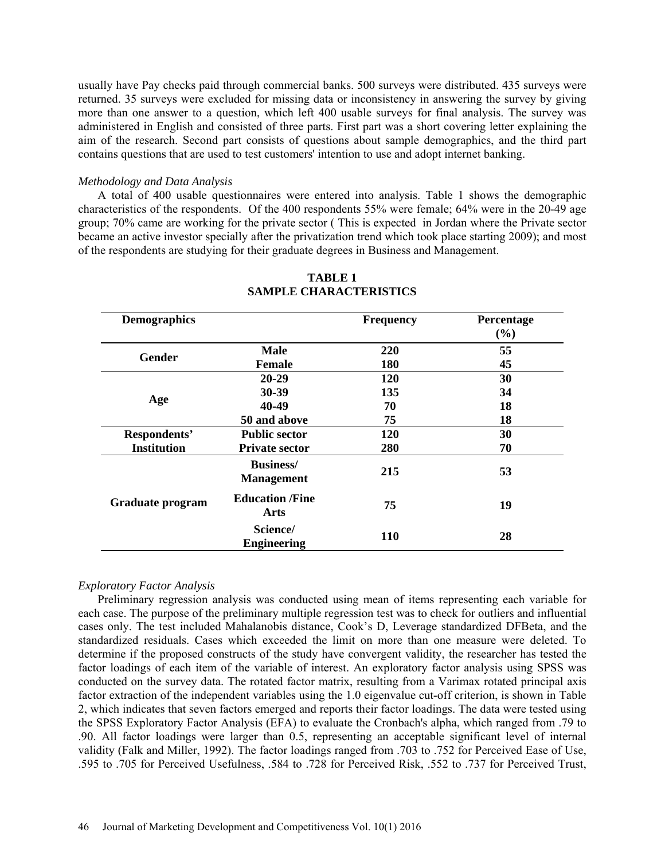usually have Pay checks paid through commercial banks. 500 surveys were distributed. 435 surveys were returned. 35 surveys were excluded for missing data or inconsistency in answering the survey by giving more than one answer to a question, which left 400 usable surveys for final analysis. The survey was administered in English and consisted of three parts. First part was a short covering letter explaining the aim of the research. Second part consists of questions about sample demographics, and the third part contains questions that are used to test customers' intention to use and adopt internet banking.

## *Methodology and Data Analysis*

A total of 400 usable questionnaires were entered into analysis. Table 1 shows the demographic characteristics of the respondents. Of the 400 respondents 55% were female; 64% were in the 20-49 age group; 70% came are working for the private sector ( This is expected in Jordan where the Private sector became an active investor specially after the privatization trend which took place starting 2009); and most of the respondents are studying for their graduate degrees in Business and Management.

| <b>Demographics</b> |                                        | <b>Frequency</b> | Percentage<br>(%) |
|---------------------|----------------------------------------|------------------|-------------------|
| <b>Gender</b>       | <b>Male</b>                            | 220              | 55                |
|                     | <b>Female</b>                          | 180              | 45                |
|                     | $20 - 29$                              | 120              | 30                |
|                     | 30-39                                  | 135              | 34                |
| Age                 | 40-49                                  | 70               | 18                |
|                     | 50 and above                           | 75               | 18                |
| Respondents'        | <b>Public sector</b>                   | 120              | 30                |
| <b>Institution</b>  | <b>Private sector</b>                  | 280              | 70                |
|                     | <b>Business</b> /<br><b>Management</b> | 215              | 53                |
| Graduate program    | <b>Education /Fine</b><br>Arts         | 75               | 19                |
|                     | Science/<br><b>Engineering</b>         | 110              | 28                |

## **TABLE 1 SAMPLE CHARACTERISTICS**

## *Exploratory Factor Analysis*

Preliminary regression analysis was conducted using mean of items representing each variable for each case. The purpose of the preliminary multiple regression test was to check for outliers and influential cases only. The test included Mahalanobis distance, Cook's D, Leverage standardized DFBeta, and the standardized residuals. Cases which exceeded the limit on more than one measure were deleted. To determine if the proposed constructs of the study have convergent validity, the researcher has tested the factor loadings of each item of the variable of interest. An exploratory factor analysis using SPSS was conducted on the survey data. The rotated factor matrix, resulting from a Varimax rotated principal axis factor extraction of the independent variables using the 1.0 eigenvalue cut-off criterion, is shown in Table 2, which indicates that seven factors emerged and reports their factor loadings. The data were tested using the SPSS Exploratory Factor Analysis (EFA) to evaluate the Cronbach's alpha, which ranged from .79 to .90. All factor loadings were larger than 0.5, representing an acceptable significant level of internal validity (Falk and Miller, 1992). The factor loadings ranged from .703 to .752 for Perceived Ease of Use, .595 to .705 for Perceived Usefulness, .584 to .728 for Perceived Risk, .552 to .737 for Perceived Trust,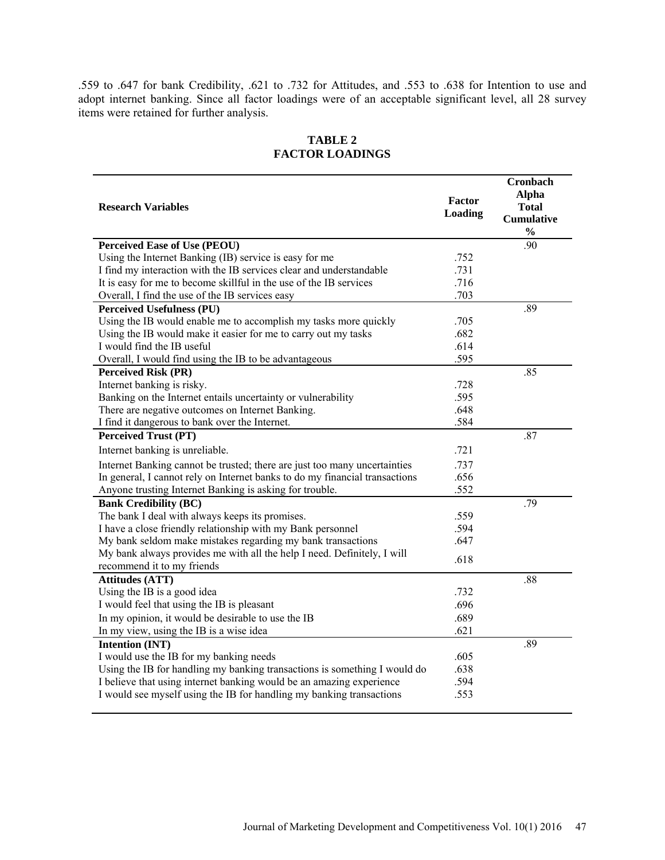.559 to .647 for bank Credibility, .621 to .732 for Attitudes, and .553 to .638 for Intention to use and adopt internet banking. Since all factor loadings were of an acceptable significant level, all 28 survey items were retained for further analysis.

| <b>Research Variables</b>                                                                             | Factor<br>Loading | <b>Cronbach</b><br><b>Alpha</b><br><b>Total</b><br><b>Cumulative</b><br>$\frac{0}{0}$ |
|-------------------------------------------------------------------------------------------------------|-------------------|---------------------------------------------------------------------------------------|
| <b>Perceived Ease of Use (PEOU)</b>                                                                   |                   | .90                                                                                   |
| Using the Internet Banking (IB) service is easy for me                                                | .752              |                                                                                       |
| I find my interaction with the IB services clear and understandable                                   | .731              |                                                                                       |
| It is easy for me to become skillful in the use of the IB services                                    | .716              |                                                                                       |
| Overall, I find the use of the IB services easy                                                       | .703              |                                                                                       |
| <b>Perceived Usefulness (PU)</b>                                                                      |                   | .89                                                                                   |
| Using the IB would enable me to accomplish my tasks more quickly                                      | .705              |                                                                                       |
| Using the IB would make it easier for me to carry out my tasks                                        | .682              |                                                                                       |
| I would find the IB useful                                                                            | .614              |                                                                                       |
| Overall, I would find using the IB to be advantageous                                                 | .595              |                                                                                       |
| <b>Perceived Risk (PR)</b>                                                                            |                   | .85                                                                                   |
| Internet banking is risky.                                                                            | .728              |                                                                                       |
| Banking on the Internet entails uncertainty or vulnerability                                          | .595              |                                                                                       |
| There are negative outcomes on Internet Banking.                                                      | .648              |                                                                                       |
| I find it dangerous to bank over the Internet.                                                        | .584              |                                                                                       |
| <b>Perceived Trust (PT)</b>                                                                           |                   | .87                                                                                   |
| Internet banking is unreliable.                                                                       | .721              |                                                                                       |
| Internet Banking cannot be trusted; there are just too many uncertainties                             | .737              |                                                                                       |
| In general, I cannot rely on Internet banks to do my financial transactions                           | .656              |                                                                                       |
| Anyone trusting Internet Banking is asking for trouble.                                               | .552              |                                                                                       |
| <b>Bank Credibility (BC)</b>                                                                          |                   | .79                                                                                   |
| The bank I deal with always keeps its promises.                                                       | .559              |                                                                                       |
| I have a close friendly relationship with my Bank personnel                                           | .594              |                                                                                       |
| My bank seldom make mistakes regarding my bank transactions                                           | .647              |                                                                                       |
| My bank always provides me with all the help I need. Definitely, I will<br>recommend it to my friends | .618              |                                                                                       |
| <b>Attitudes (ATT)</b>                                                                                |                   | .88                                                                                   |
| Using the IB is a good idea                                                                           | .732              |                                                                                       |
| I would feel that using the IB is pleasant                                                            | .696              |                                                                                       |
| In my opinion, it would be desirable to use the IB                                                    | .689              |                                                                                       |
| In my view, using the IB is a wise idea                                                               | .621              |                                                                                       |
| Intention (INT)                                                                                       |                   | .89                                                                                   |
| I would use the IB for my banking needs                                                               | .605              |                                                                                       |
| Using the IB for handling my banking transactions is something I would do                             | .638              |                                                                                       |
| I believe that using internet banking would be an amazing experience                                  | .594              |                                                                                       |
| I would see myself using the IB for handling my banking transactions                                  | .553              |                                                                                       |

# **TABLE 2 FACTOR LOADINGS**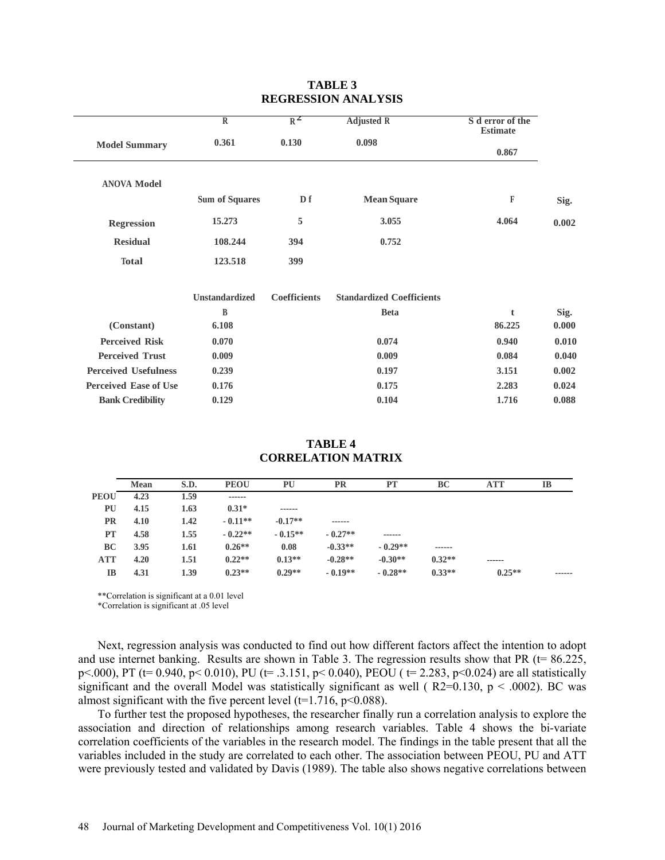|                              | $\overline{R}$        | $R^2$               | <b>Adjusted R</b>                | S d error of the<br><b>Estimate</b> |       |
|------------------------------|-----------------------|---------------------|----------------------------------|-------------------------------------|-------|
| <b>Model Summary</b>         | 0.361                 | 0.130               | 0.098                            | 0.867                               |       |
| <b>ANOVA Model</b>           | <b>Sum of Squares</b> | Df                  | <b>Mean Square</b>               | $\mathbb F$                         | Sig.  |
| <b>Regression</b>            | 15.273                | 5                   | 3.055                            | 4.064                               | 0.002 |
| <b>Residual</b>              | 108.244               | 394                 | 0.752                            |                                     |       |
| <b>Total</b>                 | 123.518               | 399                 |                                  |                                     |       |
|                              | <b>Unstandardized</b> | <b>Coefficients</b> | <b>Standardized Coefficients</b> |                                     |       |
|                              | B                     |                     | <b>Beta</b>                      | $\mathbf{t}$                        | Sig.  |
| (Constant)                   | 6.108                 |                     |                                  | 86.225                              | 0.000 |
| <b>Perceived Risk</b>        | 0.070                 |                     | 0.074                            | 0.940                               | 0.010 |
| <b>Perceived Trust</b>       | 0.009                 |                     | 0.009                            | 0.084                               | 0.040 |
| <b>Perceived Usefulness</b>  | 0.239                 |                     | 0.197                            | 3.151                               | 0.002 |
| <b>Perceived Ease of Use</b> | 0.176                 |                     | 0.175                            | 2.283                               | 0.024 |
| <b>Bank Credibility</b>      | 0.129                 |                     | 0.104                            | 1.716                               | 0.088 |
|                              |                       |                     |                                  |                                     |       |

## **TABLE 3 REGRESSION ANALYSIS**

## **TABLE 4 CORRELATION MATRIX**

|             | <b>Mean</b> | S.D. | <b>PEOU</b> | PU        | <b>PR</b> | <b>PT</b> | BC       | ATT      | IB     |
|-------------|-------------|------|-------------|-----------|-----------|-----------|----------|----------|--------|
| <b>PEOU</b> | 4.23        | 1.59 | ------      |           |           |           |          |          |        |
| PU          | 4.15        | 1.63 | $0.31*$     | ------    |           |           |          |          |        |
| <b>PR</b>   | 4.10        | 1.42 | $-0.11**$   | $-0.17**$ | ------    |           |          |          |        |
| <b>PT</b>   | 4.58        | 1.55 | $-0.22**$   | $-0.15**$ | $-0.27**$ | ------    |          |          |        |
| BC          | 3.95        | 1.61 | $0.26**$    | 0.08      | $-0.33**$ | $-0.29**$ | ------   |          |        |
| <b>ATT</b>  | 4.20        | 1.51 | $0.22**$    | $0.13**$  | $-0.28**$ | $-0.30**$ | $0.32**$ | ------   |        |
| <b>IB</b>   | 4.31        | 1.39 | $0.23**$    | $0.29**$  | $-0.19**$ | $-0.28**$ | $0.33**$ | $0.25**$ | ------ |

\*\*Correlation is significant at a 0.01 level

\*Correlation is significant at .05 level

Next, regression analysis was conducted to find out how different factors affect the intention to adopt and use internet banking. Results are shown in Table 3. The regression results show that PR  $(t= 86.225,$ p<.000), PT (t= 0.940, p< 0.010), PU (t= .3.151, p< 0.040), PEOU ( t= 2.283, p<0.024) are all statistically significant and the overall Model was statistically significant as well ( $R2=0.130$ ,  $p < .0002$ ). BC was almost significant with the five percent level ( $t=1.716$ ,  $p<0.088$ ).

To further test the proposed hypotheses, the researcher finally run a correlation analysis to explore the association and direction of relationships among research variables. Table 4 shows the bi-variate correlation coefficients of the variables in the research model. The findings in the table present that all the variables included in the study are correlated to each other. The association between PEOU, PU and ATT were previously tested and validated by Davis (1989). The table also shows negative correlations between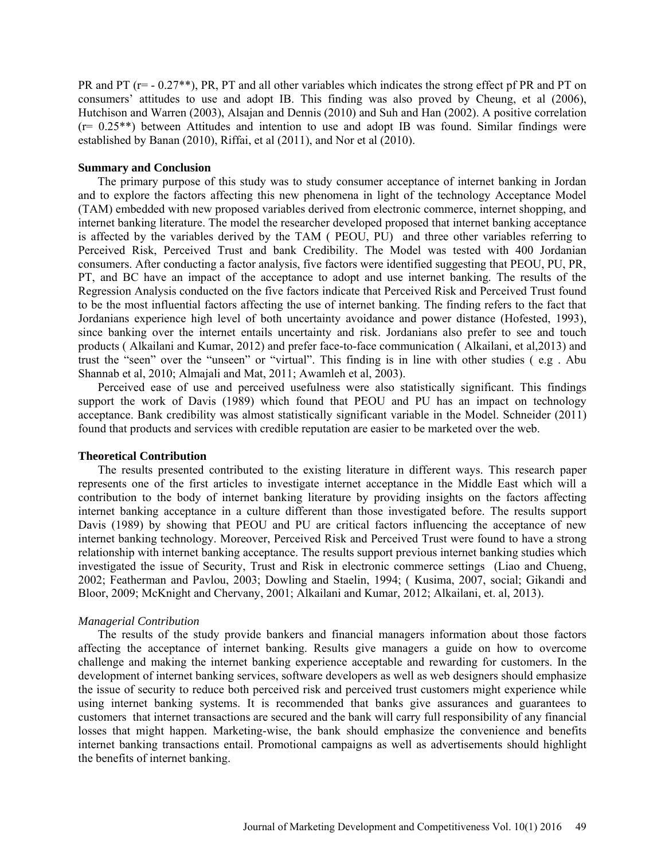PR and PT ( $r= -0.27**$ ), PR, PT and all other variables which indicates the strong effect pf PR and PT on consumers' attitudes to use and adopt IB. This finding was also proved by Cheung, et al (2006), Hutchison and Warren (2003), Alsajan and Dennis (2010) and Suh and Han (2002). A positive correlation (r= 0.25\*\*) between Attitudes and intention to use and adopt IB was found. Similar findings were established by Banan (2010), Riffai, et al (2011), and Nor et al (2010).

## **Summary and Conclusion**

The primary purpose of this study was to study consumer acceptance of internet banking in Jordan and to explore the factors affecting this new phenomena in light of the technology Acceptance Model (TAM) embedded with new proposed variables derived from electronic commerce, internet shopping, and internet banking literature. The model the researcher developed proposed that internet banking acceptance is affected by the variables derived by the TAM ( PEOU, PU) and three other variables referring to Perceived Risk, Perceived Trust and bank Credibility. The Model was tested with 400 Jordanian consumers. After conducting a factor analysis, five factors were identified suggesting that PEOU, PU, PR, PT, and BC have an impact of the acceptance to adopt and use internet banking. The results of the Regression Analysis conducted on the five factors indicate that Perceived Risk and Perceived Trust found to be the most influential factors affecting the use of internet banking. The finding refers to the fact that Jordanians experience high level of both uncertainty avoidance and power distance (Hofested, 1993), since banking over the internet entails uncertainty and risk. Jordanians also prefer to see and touch products ( Alkailani and Kumar, 2012) and prefer face-to-face communication ( Alkailani, et al,2013) and trust the "seen" over the "unseen" or "virtual". This finding is in line with other studies ( e.g . Abu Shannab et al, 2010; Almajali and Mat, 2011; Awamleh et al, 2003).

Perceived ease of use and perceived usefulness were also statistically significant. This findings support the work of Davis (1989) which found that PEOU and PU has an impact on technology acceptance. Bank credibility was almost statistically significant variable in the Model. Schneider (2011) found that products and services with credible reputation are easier to be marketed over the web.

#### **Theoretical Contribution**

The results presented contributed to the existing literature in different ways. This research paper represents one of the first articles to investigate internet acceptance in the Middle East which will a contribution to the body of internet banking literature by providing insights on the factors affecting internet banking acceptance in a culture different than those investigated before. The results support Davis (1989) by showing that PEOU and PU are critical factors influencing the acceptance of new internet banking technology. Moreover, Perceived Risk and Perceived Trust were found to have a strong relationship with internet banking acceptance. The results support previous internet banking studies which investigated the issue of Security, Trust and Risk in electronic commerce settings (Liao and Chueng, 2002; Featherman and Pavlou, 2003; Dowling and Staelin, 1994; ( Kusima, 2007, social; Gikandi and Bloor, 2009; McKnight and Chervany, 2001; Alkailani and Kumar, 2012; Alkailani, et. al, 2013).

## *Managerial Contribution*

The results of the study provide bankers and financial managers information about those factors affecting the acceptance of internet banking. Results give managers a guide on how to overcome challenge and making the internet banking experience acceptable and rewarding for customers. In the development of internet banking services, software developers as well as web designers should emphasize the issue of security to reduce both perceived risk and perceived trust customers might experience while using internet banking systems. It is recommended that banks give assurances and guarantees to customers that internet transactions are secured and the bank will carry full responsibility of any financial losses that might happen. Marketing-wise, the bank should emphasize the convenience and benefits internet banking transactions entail. Promotional campaigns as well as advertisements should highlight the benefits of internet banking.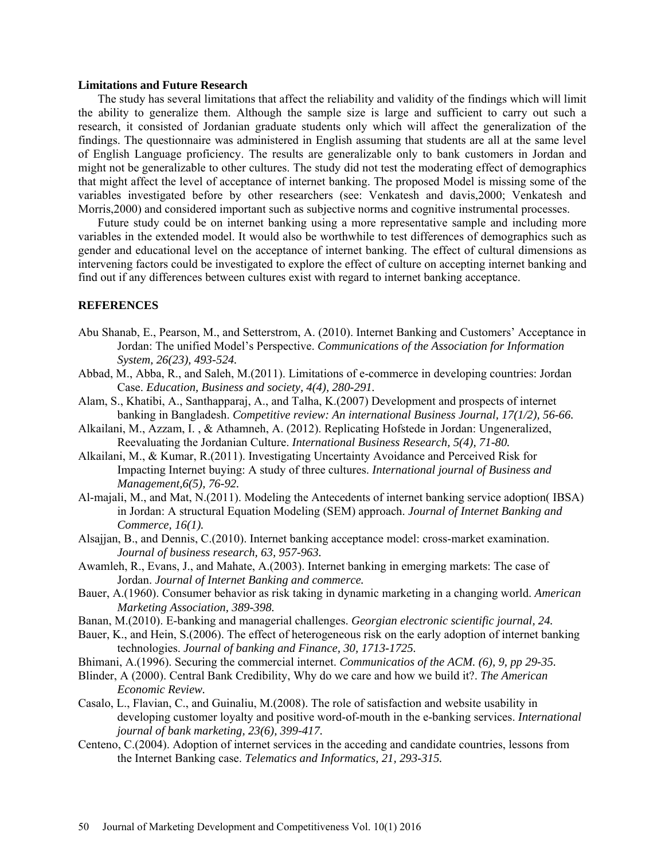#### **Limitations and Future Research**

The study has several limitations that affect the reliability and validity of the findings which will limit the ability to generalize them. Although the sample size is large and sufficient to carry out such a research, it consisted of Jordanian graduate students only which will affect the generalization of the findings. The questionnaire was administered in English assuming that students are all at the same level of English Language proficiency. The results are generalizable only to bank customers in Jordan and might not be generalizable to other cultures. The study did not test the moderating effect of demographics that might affect the level of acceptance of internet banking. The proposed Model is missing some of the variables investigated before by other researchers (see: Venkatesh and davis,2000; Venkatesh and Morris,2000) and considered important such as subjective norms and cognitive instrumental processes.

Future study could be on internet banking using a more representative sample and including more variables in the extended model. It would also be worthwhile to test differences of demographics such as gender and educational level on the acceptance of internet banking. The effect of cultural dimensions as intervening factors could be investigated to explore the effect of culture on accepting internet banking and find out if any differences between cultures exist with regard to internet banking acceptance.

## **REFERENCES**

- Abu Shanab, E., Pearson, M., and Setterstrom, A. (2010). Internet Banking and Customers' Acceptance in Jordan: The unified Model's Perspective. *Communications of the Association for Information System, 26(23), 493-524.*
- Abbad, M., Abba, R., and Saleh, M.(2011). Limitations of e-commerce in developing countries: Jordan Case. *Education, Business and society, 4(4), 280-291.*
- Alam, S., Khatibi, A., Santhapparaj, A., and Talha, K.(2007) Development and prospects of internet banking in Bangladesh. *Competitive review: An international Business Journal, 17(1/2), 56-66.*
- Alkailani, M., Azzam, I. , & Athamneh, A. (2012). Replicating Hofstede in Jordan: Ungeneralized, Reevaluating the Jordanian Culture. *International Business Research, 5(4), 71-80.*
- Alkailani, M., & Kumar, R.(2011). Investigating Uncertainty Avoidance and Perceived Risk for Impacting Internet buying: A study of three cultures. *International journal of Business and Management,6(5), 76-92.*
- Al-majali, M., and Mat, N.(2011). Modeling the Antecedents of internet banking service adoption( IBSA) in Jordan: A structural Equation Modeling (SEM) approach. *Journal of Internet Banking and Commerce, 16(1).*
- Alsajjan, B., and Dennis, C.(2010). Internet banking acceptance model: cross-market examination. *Journal of business research, 63, 957-963.*
- Awamleh, R., Evans, J., and Mahate, A.(2003). Internet banking in emerging markets: The case of Jordan. *Journal of Internet Banking and commerce.*
- Bauer, A.(1960). Consumer behavior as risk taking in dynamic marketing in a changing world. *American Marketing Association, 389-398.*
- Banan, M.(2010). E-banking and managerial challenges. *Georgian electronic scientific journal, 24.*
- Bauer, K., and Hein, S.(2006). The effect of heterogeneous risk on the early adoption of internet banking technologies. *Journal of banking and Finance, 30, 1713-1725.*
- Bhimani, A.(1996). Securing the commercial internet. *Communicatios of the ACM. (6), 9, pp 29-35.*
- Blinder, A (2000). Central Bank Credibility, Why do we care and how we build it?. *The American Economic Review.*
- Casalo, L., Flavian, C., and Guinaliu, M.(2008). The role of satisfaction and website usability in developing customer loyalty and positive word-of-mouth in the e-banking services. *International journal of bank marketing, 23(6), 399-417.*
- Centeno, C.(2004). Adoption of internet services in the acceding and candidate countries, lessons from the Internet Banking case. *Telematics and Informatics, 21, 293-315.*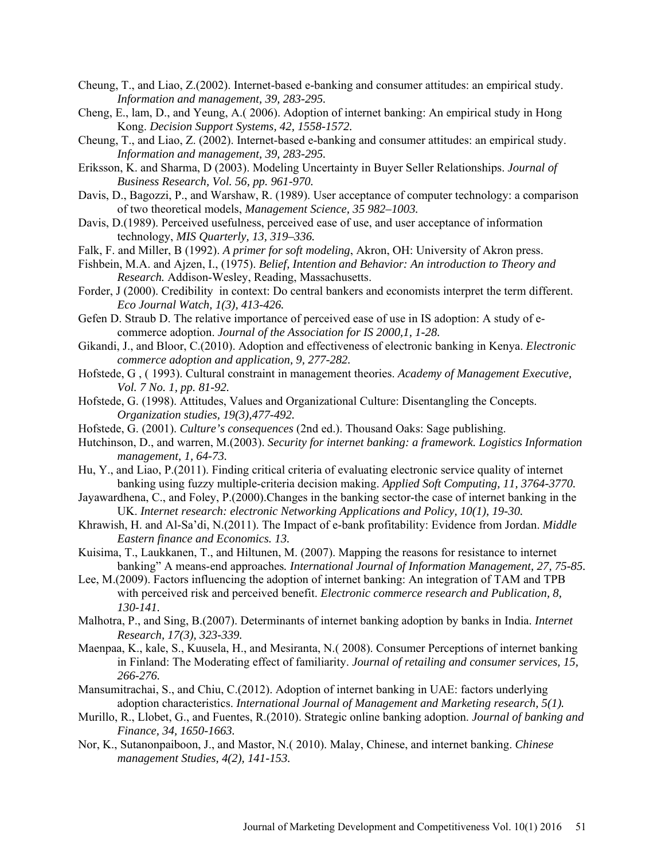- Cheung, T., and Liao, Z.(2002). Internet-based e-banking and consumer attitudes: an empirical study. *Information and management, 39, 283-295.*
- Cheng, E., lam, D., and Yeung, A.( 2006). Adoption of internet banking: An empirical study in Hong Kong. *Decision Support Systems, 42, 1558-1572.*
- Cheung, T., and Liao, Z. (2002). Internet-based e-banking and consumer attitudes: an empirical study. *Information and management, 39, 283-295.*
- Eriksson, K. and Sharma, D (2003). Modeling Uncertainty in Buyer Seller Relationships. *Journal of Business Research, Vol. 56, pp. 961-970.*
- Davis, D., Bagozzi, P., and Warshaw, R. (1989). User acceptance of computer technology: a comparison of two theoretical models, *Management Science, 35 982–1003.*
- Davis, D.(1989). Perceived usefulness, perceived ease of use, and user acceptance of information technology, *MIS Quarterly, 13, 319–336.*
- Falk, F. and Miller, B (1992). *A primer for soft modeling*, Akron, OH: University of Akron press.
- Fishbein, M.A. and Ajzen, I., (1975). *Belief, Intention and Behavior: An introduction to Theory and Research.* Addison-Wesley, Reading, Massachusetts.
- Forder, J (2000). Credibility in context: Do central bankers and economists interpret the term different. *Eco Journal Watch, 1(3), 413-426.*
- Gefen D. Straub D. The relative importance of perceived ease of use in IS adoption: A study of ecommerce adoption. *Journal of the Association for IS 2000,1, 1-28.*
- Gikandi, J., and Bloor, C.(2010). Adoption and effectiveness of electronic banking in Kenya. *Electronic commerce adoption and application, 9, 277-282.*
- Hofstede, G , ( 1993). Cultural constraint in management theories. *Academy of Management Executive, Vol. 7 No. 1, pp. 81-92.*
- Hofstede, G. (1998). Attitudes, Values and Organizational Culture: Disentangling the Concepts. *Organization studies, 19(3),477-492.*
- Hofstede, G. (2001). *Culture's consequences* (2nd ed.). Thousand Oaks: Sage publishing.
- Hutchinson, D., and warren, M.(2003). *Security for internet banking: a framework. Logistics Information management, 1, 64-73.*
- Hu, Y., and Liao, P.(2011). Finding critical criteria of evaluating electronic service quality of internet banking using fuzzy multiple-criteria decision making. *Applied Soft Computing, 11, 3764-3770.*
- Jayawardhena, C., and Foley, P.(2000).Changes in the banking sector-the case of internet banking in the UK. *Internet research: electronic Networking Applications and Policy, 10(1), 19-30.*
- Khrawish, H. and Al-Sa'di, N.(2011). The Impact of e-bank profitability: Evidence from Jordan. *Middle Eastern finance and Economics. 13.*
- Kuisima, T., Laukkanen, T., and Hiltunen, M. (2007). Mapping the reasons for resistance to internet banking" A means-end approaches*. International Journal of Information Management, 27, 75-85.*
- Lee, M.(2009). Factors influencing the adoption of internet banking: An integration of TAM and TPB with perceived risk and perceived benefit. *Electronic commerce research and Publication, 8, 130-141.*
- Malhotra, P., and Sing, B.(2007). Determinants of internet banking adoption by banks in India. *Internet Research, 17(3), 323-339.*
- Maenpaa, K., kale, S., Kuusela, H., and Mesiranta, N.( 2008). Consumer Perceptions of internet banking in Finland: The Moderating effect of familiarity. *Journal of retailing and consumer services, 15, 266-276.*
- Mansumitrachai, S., and Chiu, C.(2012). Adoption of internet banking in UAE: factors underlying adoption characteristics. *International Journal of Management and Marketing research, 5(1).*
- Murillo, R., Llobet, G., and Fuentes, R.(2010). Strategic online banking adoption. *Journal of banking and Finance, 34, 1650-1663.*
- Nor, K., Sutanonpaiboon, J., and Mastor, N.( 2010). Malay, Chinese, and internet banking. *Chinese management Studies, 4(2), 141-153.*